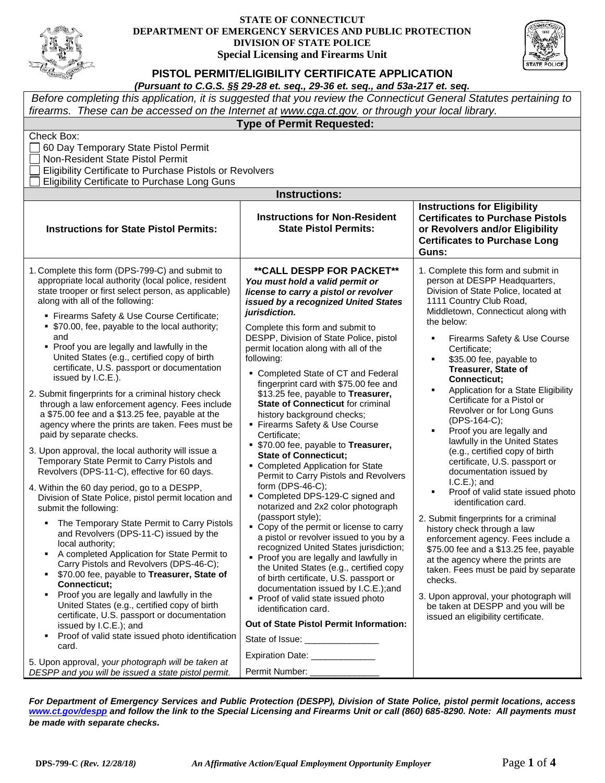

## **STATE OF CONNECTICUT DEPARTMENT OF EMERGENCY SERVICES AND PUBLIC PROTECTION DIVISION OF STATE POLICE Special Licensing and Firearms Unit**



**PISTOL PERMIT/ELIGIBILITY CERTIFICATE APPLICATION**

| Before completing this application, it is suggested that you review the Connecticut General Statutes pertaining to                                                                                                                                                                                                                                                                                                                                                                                                                                                                                                                                                                                                                                                                                                                                                                                                                                                                                                                                                                                                                                                                                                                                                                                                                                                                                                                                                              |                                                                                                                                                                                                                                                                                                                                                                                                                                                                                                                                                                                                                                                                                                                                                                                                                                                                                                                                                                                                                                                                                                                                                                                                        |                                                                                                                                                                                                                                                                                                                                                                                                                                                                                                                                                                                                                                                                                                                                                                                                                                                                                                              |  |  |  |  |
|---------------------------------------------------------------------------------------------------------------------------------------------------------------------------------------------------------------------------------------------------------------------------------------------------------------------------------------------------------------------------------------------------------------------------------------------------------------------------------------------------------------------------------------------------------------------------------------------------------------------------------------------------------------------------------------------------------------------------------------------------------------------------------------------------------------------------------------------------------------------------------------------------------------------------------------------------------------------------------------------------------------------------------------------------------------------------------------------------------------------------------------------------------------------------------------------------------------------------------------------------------------------------------------------------------------------------------------------------------------------------------------------------------------------------------------------------------------------------------|--------------------------------------------------------------------------------------------------------------------------------------------------------------------------------------------------------------------------------------------------------------------------------------------------------------------------------------------------------------------------------------------------------------------------------------------------------------------------------------------------------------------------------------------------------------------------------------------------------------------------------------------------------------------------------------------------------------------------------------------------------------------------------------------------------------------------------------------------------------------------------------------------------------------------------------------------------------------------------------------------------------------------------------------------------------------------------------------------------------------------------------------------------------------------------------------------------|--------------------------------------------------------------------------------------------------------------------------------------------------------------------------------------------------------------------------------------------------------------------------------------------------------------------------------------------------------------------------------------------------------------------------------------------------------------------------------------------------------------------------------------------------------------------------------------------------------------------------------------------------------------------------------------------------------------------------------------------------------------------------------------------------------------------------------------------------------------------------------------------------------------|--|--|--|--|
| firearms. These can be accessed on the Internet at www.cga.ct.gov. or through your local library.<br><b>Type of Permit Requested:</b>                                                                                                                                                                                                                                                                                                                                                                                                                                                                                                                                                                                                                                                                                                                                                                                                                                                                                                                                                                                                                                                                                                                                                                                                                                                                                                                                           |                                                                                                                                                                                                                                                                                                                                                                                                                                                                                                                                                                                                                                                                                                                                                                                                                                                                                                                                                                                                                                                                                                                                                                                                        |                                                                                                                                                                                                                                                                                                                                                                                                                                                                                                                                                                                                                                                                                                                                                                                                                                                                                                              |  |  |  |  |
| Check Box:<br>60 Day Temporary State Pistol Permit<br>Non-Resident State Pistol Permit<br>Eligibility Certificate to Purchase Pistols or Revolvers<br><b>Eligibility Certificate to Purchase Long Guns</b><br><b>Instructions:</b>                                                                                                                                                                                                                                                                                                                                                                                                                                                                                                                                                                                                                                                                                                                                                                                                                                                                                                                                                                                                                                                                                                                                                                                                                                              |                                                                                                                                                                                                                                                                                                                                                                                                                                                                                                                                                                                                                                                                                                                                                                                                                                                                                                                                                                                                                                                                                                                                                                                                        |                                                                                                                                                                                                                                                                                                                                                                                                                                                                                                                                                                                                                                                                                                                                                                                                                                                                                                              |  |  |  |  |
|                                                                                                                                                                                                                                                                                                                                                                                                                                                                                                                                                                                                                                                                                                                                                                                                                                                                                                                                                                                                                                                                                                                                                                                                                                                                                                                                                                                                                                                                                 |                                                                                                                                                                                                                                                                                                                                                                                                                                                                                                                                                                                                                                                                                                                                                                                                                                                                                                                                                                                                                                                                                                                                                                                                        | <b>Instructions for Eligibility</b>                                                                                                                                                                                                                                                                                                                                                                                                                                                                                                                                                                                                                                                                                                                                                                                                                                                                          |  |  |  |  |
| <b>Instructions for State Pistol Permits:</b>                                                                                                                                                                                                                                                                                                                                                                                                                                                                                                                                                                                                                                                                                                                                                                                                                                                                                                                                                                                                                                                                                                                                                                                                                                                                                                                                                                                                                                   | <b>Instructions for Non-Resident</b><br><b>State Pistol Permits:</b>                                                                                                                                                                                                                                                                                                                                                                                                                                                                                                                                                                                                                                                                                                                                                                                                                                                                                                                                                                                                                                                                                                                                   | <b>Certificates to Purchase Pistols</b><br>or Revolvers and/or Eligibility<br><b>Certificates to Purchase Long</b><br>Guns:                                                                                                                                                                                                                                                                                                                                                                                                                                                                                                                                                                                                                                                                                                                                                                                  |  |  |  |  |
| 1. Complete this form (DPS-799-C) and submit to<br>appropriate local authority (local police, resident<br>state trooper or first select person, as applicable)<br>along with all of the following:                                                                                                                                                                                                                                                                                                                                                                                                                                                                                                                                                                                                                                                                                                                                                                                                                                                                                                                                                                                                                                                                                                                                                                                                                                                                              | <b>**CALL DESPP FOR PACKET**</b><br>You must hold a valid permit or<br>license to carry a pistol or revolver<br>issued by a recognized United States                                                                                                                                                                                                                                                                                                                                                                                                                                                                                                                                                                                                                                                                                                                                                                                                                                                                                                                                                                                                                                                   | 1. Complete this form and submit in<br>person at DESPP Headquarters,<br>Division of State Police, located at<br>1111 Country Club Road,                                                                                                                                                                                                                                                                                                                                                                                                                                                                                                                                                                                                                                                                                                                                                                      |  |  |  |  |
| " Firearms Safety & Use Course Certificate;<br>• \$70.00, fee, payable to the local authority;<br>and<br>• Proof you are legally and lawfully in the<br>United States (e.g., certified copy of birth<br>certificate, U.S. passport or documentation<br>issued by I.C.E.).<br>2. Submit fingerprints for a criminal history check<br>through a law enforcement agency. Fees include<br>a \$75.00 fee and a \$13.25 fee, payable at the<br>agency where the prints are taken. Fees must be<br>paid by separate checks.<br>3. Upon approval, the local authority will issue a<br>Temporary State Permit to Carry Pistols and<br>Revolvers (DPS-11-C), effective for 60 days.<br>4. Within the 60 day period, go to a DESPP,<br>Division of State Police, pistol permit location and<br>submit the following:<br>• The Temporary State Permit to Carry Pistols<br>and Revolvers (DPS-11-C) issued by the<br>local authority;<br>A completed Application for State Permit to<br>$\blacksquare$<br>Carry Pistols and Revolvers (DPS-46-C);<br>\$70.00 fee, payable to Treasurer, State of<br>٠<br>Connecticut;<br>Proof you are legally and lawfully in the<br>٠<br>United States (e.g., certified copy of birth<br>certificate, U.S. passport or documentation<br>issued by I.C.E.); and<br>Proof of valid state issued photo identification<br>$\blacksquare$<br>card.<br>5. Upon approval, your photograph will be taken at<br>DESPP and you will be issued a state pistol permit. | jurisdiction.<br>Complete this form and submit to<br>DESPP, Division of State Police, pistol<br>permit location along with all of the<br>following:<br>• Completed State of CT and Federal<br>fingerprint card with \$75.00 fee and<br>\$13.25 fee, payable to Treasurer,<br><b>State of Connecticut for criminal</b><br>history background checks;<br>• Firearms Safety & Use Course<br>Certificate:<br>• \$70.00 fee, payable to Treasurer,<br><b>State of Connecticut;</b><br>• Completed Application for State<br>Permit to Carry Pistols and Revolvers<br>form (DPS-46-C);<br>• Completed DPS-129-C signed and<br>notarized and 2x2 color photograph<br>(passport style);<br>• Copy of the permit or license to carry<br>a pistol or revolver issued to you by a<br>recognized United States jurisdiction;<br>• Proof you are legally and lawfully in<br>the United States (e.g., certified copy<br>of birth certificate, U.S. passport or<br>documentation issued by I.C.E.);and<br>• Proof of valid state issued photo<br>identification card.<br>Out of State Pistol Permit Information:<br>State of Issue: ________________<br>Expiration Date: _____________<br>Permit Number: _____________ | Middletown, Connecticut along with<br>the below:<br>Firearms Safety & Use Course<br>Certificate:<br>\$35.00 fee, payable to<br>Treasurer, State of<br>Connecticut;<br>Application for a State Eligibility<br>Certificate for a Pistol or<br>Revolver or for Long Guns<br>(DPS-164-C);<br>Proof you are legally and<br>lawfully in the United States<br>(e.g., certified copy of birth<br>certificate, U.S. passport or<br>documentation issued by<br>$I.C.E.$ ); and<br>Proof of valid state issued photo<br>٠<br>identification card.<br>2. Submit fingerprints for a criminal<br>history check through a law<br>enforcement agency. Fees include a<br>\$75.00 fee and a \$13.25 fee, payable<br>at the agency where the prints are<br>taken. Fees must be paid by separate<br>checks.<br>3. Upon approval, your photograph will<br>be taken at DESPP and you will be<br>issued an eligibility certificate. |  |  |  |  |

*For Department of Emergency Services and Public Protection (DESPP), Division of State Police, pistol permit locations, access [www.ct.gov/despp](http://www.ct.gov/despp) and follow the link to the Special Licensing and Firearms Unit or call (860) 685-8290. Note:**All payments must be made with separate checks.*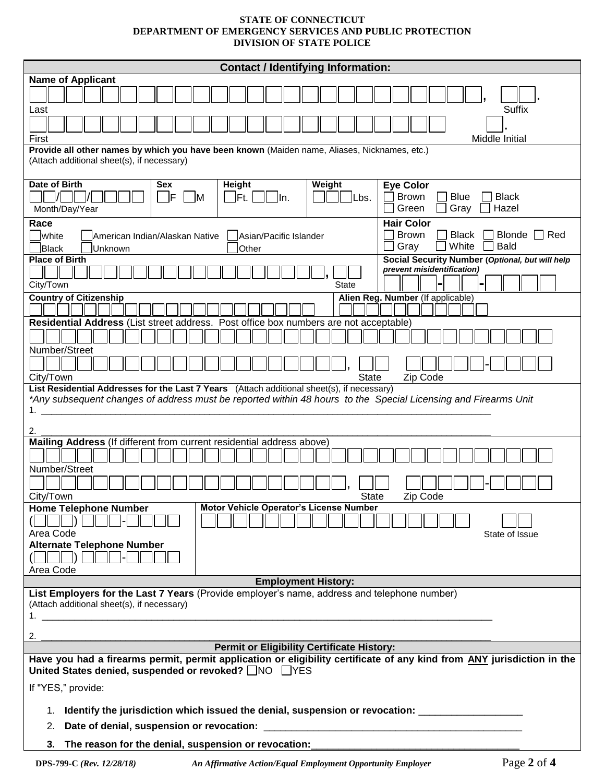## **STATE OF CONNECTICUT DEPARTMENT OF EMERGENCY SERVICES AND PUBLIC PROTECTION DIVISION OF STATE POLICE**

| <b>Contact / Identifying Information:</b>                                                                                                                                                       |  |  |  |  |
|-------------------------------------------------------------------------------------------------------------------------------------------------------------------------------------------------|--|--|--|--|
| <b>Name of Applicant</b>                                                                                                                                                                        |  |  |  |  |
|                                                                                                                                                                                                 |  |  |  |  |
| Suffix<br>Last                                                                                                                                                                                  |  |  |  |  |
| Middle Initial<br>First                                                                                                                                                                         |  |  |  |  |
| Provide all other names by which you have been known (Maiden name, Aliases, Nicknames, etc.)<br>(Attach additional sheet(s), if necessary)                                                      |  |  |  |  |
| Date of Birth<br>Height<br>Weight<br><b>Eye Color</b><br>Sex                                                                                                                                    |  |  |  |  |
| Brown<br>- IF<br><b>Blue</b><br><b>Black</b><br><b>M</b><br>$Ft$ .<br>lln.<br>Lbs.<br>Gray<br>Hazel<br>Green<br>Month/Day/Year                                                                  |  |  |  |  |
| <b>Hair Color</b><br>Race                                                                                                                                                                       |  |  |  |  |
| <b>Brown</b><br><b>Black</b><br><b>Blonde</b><br>l Red<br>White<br>American Indian/Alaskan Native<br>Asian/Pacific Islander<br>White<br><b>Bald</b><br>Gray<br><b>Black</b><br>Unknown<br>Other |  |  |  |  |
| <b>Place of Birth</b><br>Social Security Number (Optional, but will help<br>prevent misidentification)                                                                                          |  |  |  |  |
| City/Town<br><b>State</b>                                                                                                                                                                       |  |  |  |  |
| <b>Country of Citizenship</b><br>Alien Reg. Number (If applicable)                                                                                                                              |  |  |  |  |
| Residential Address (List street address. Post office box numbers are not acceptable)                                                                                                           |  |  |  |  |
| Number/Street                                                                                                                                                                                   |  |  |  |  |
|                                                                                                                                                                                                 |  |  |  |  |
| City/Town<br><b>State</b><br>Zip Code                                                                                                                                                           |  |  |  |  |
| List Residential Addresses for the Last 7 Years (Attach additional sheet(s), if necessary)                                                                                                      |  |  |  |  |
| *Any subsequent changes of address must be reported within 48 hours to the Special Licensing and Firearms Unit<br>1.                                                                            |  |  |  |  |
|                                                                                                                                                                                                 |  |  |  |  |
| 2.<br>Mailing Address (If different from current residential address above)                                                                                                                     |  |  |  |  |
|                                                                                                                                                                                                 |  |  |  |  |
| Number/Street                                                                                                                                                                                   |  |  |  |  |
| <b>State</b><br>City/Town<br>Zip Code                                                                                                                                                           |  |  |  |  |
| Motor Vehicle Operator's License Number<br><b>Home Telephone Number</b><br>$\mathbf{D}$                                                                                                         |  |  |  |  |
| Area Code<br>State of Issue                                                                                                                                                                     |  |  |  |  |
| <b>Alternate Telephone Number</b>                                                                                                                                                               |  |  |  |  |
| $\mathbf{D}$                                                                                                                                                                                    |  |  |  |  |
| Area Code                                                                                                                                                                                       |  |  |  |  |
| <b>Employment History:</b>                                                                                                                                                                      |  |  |  |  |
| List Employers for the Last 7 Years (Provide employer's name, address and telephone number)<br>(Attach additional sheet(s), if necessary)                                                       |  |  |  |  |
|                                                                                                                                                                                                 |  |  |  |  |
| 2.                                                                                                                                                                                              |  |  |  |  |
| <b>Permit or Eligibility Certificate History:</b>                                                                                                                                               |  |  |  |  |
| Have you had a firearms permit, permit application or eligibility certificate of any kind from ANY jurisdiction in the<br>United States denied, suspended or revoked? NO FYES                   |  |  |  |  |
| If "YES," provide:                                                                                                                                                                              |  |  |  |  |
| Identify the jurisdiction which issued the denial, suspension or revocation: ______________________<br>1.                                                                                       |  |  |  |  |
| Date of denial, suspension or revocation:<br>2.                                                                                                                                                 |  |  |  |  |
| The reason for the denial, suspension or revocation:<br>3.                                                                                                                                      |  |  |  |  |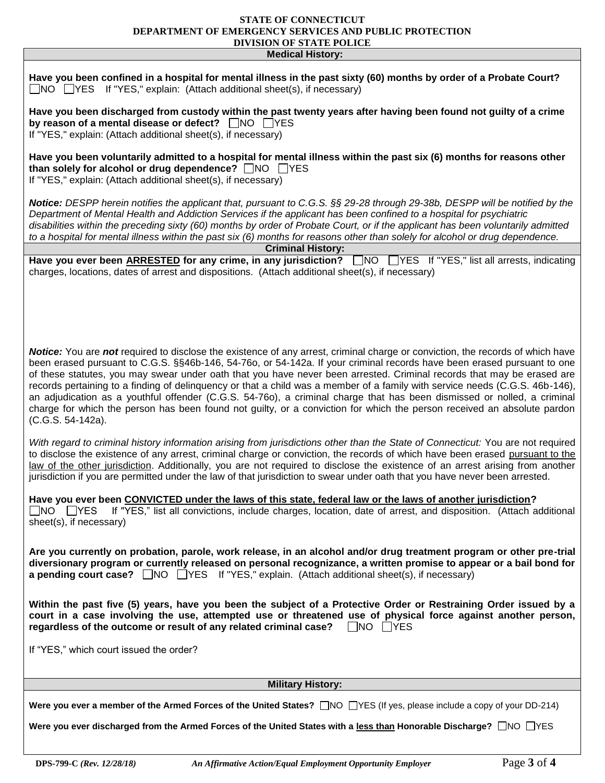## **STATE OF CONNECTICUT DEPARTMENT OF EMERGENCY SERVICES AND PUBLIC PROTECTION DIVISION OF STATE POLICE**

| <b>Medical History:</b>                                                                                                                                                                                                                                                                                                                                                                                                                                                                                                                                                                                                                                                                                                                                                                        |  |  |  |  |  |
|------------------------------------------------------------------------------------------------------------------------------------------------------------------------------------------------------------------------------------------------------------------------------------------------------------------------------------------------------------------------------------------------------------------------------------------------------------------------------------------------------------------------------------------------------------------------------------------------------------------------------------------------------------------------------------------------------------------------------------------------------------------------------------------------|--|--|--|--|--|
| Have you been confined in a hospital for mental illness in the past sixty (60) months by order of a Probate Court?<br>$\Box$ NO $\Box$ YES If "YES," explain: (Attach additional sheet(s), if necessary)                                                                                                                                                                                                                                                                                                                                                                                                                                                                                                                                                                                       |  |  |  |  |  |
| Have you been discharged from custody within the past twenty years after having been found not guilty of a crime<br>by reason of a mental disease or defect? □NO □YES<br>If "YES," explain: (Attach additional sheet(s), if necessary)                                                                                                                                                                                                                                                                                                                                                                                                                                                                                                                                                         |  |  |  |  |  |
| Have you been voluntarily admitted to a hospital for mental illness within the past six (6) months for reasons other<br>than solely for alcohol or drug dependence? △ NO △YES<br>If "YES," explain: (Attach additional sheet(s), if necessary)                                                                                                                                                                                                                                                                                                                                                                                                                                                                                                                                                 |  |  |  |  |  |
| Notice: DESPP herein notifies the applicant that, pursuant to C.G.S. §§ 29-28 through 29-38b, DESPP will be notified by the<br>Department of Mental Health and Addiction Services if the applicant has been confined to a hospital for psychiatric<br>disabilities within the preceding sixty (60) months by order of Probate Court, or if the applicant has been voluntarily admitted<br>to a hospital for mental illness within the past six (6) months for reasons other than solely for alcohol or drug dependence.                                                                                                                                                                                                                                                                        |  |  |  |  |  |
| <b>Criminal History:</b><br>Have you ever been ARRESTED for any crime, in any jurisdiction? NO NES If "YES," list all arrests, indicating                                                                                                                                                                                                                                                                                                                                                                                                                                                                                                                                                                                                                                                      |  |  |  |  |  |
| charges, locations, dates of arrest and dispositions. (Attach additional sheet(s), if necessary)                                                                                                                                                                                                                                                                                                                                                                                                                                                                                                                                                                                                                                                                                               |  |  |  |  |  |
| Notice: You are not required to disclose the existence of any arrest, criminal charge or conviction, the records of which have<br>been erased pursuant to C.G.S. §§46b-146, 54-76o, or 54-142a. If your criminal records have been erased pursuant to one<br>of these statutes, you may swear under oath that you have never been arrested. Criminal records that may be erased are<br>records pertaining to a finding of delinquency or that a child was a member of a family with service needs (C.G.S. 46b-146),<br>an adjudication as a youthful offender (C.G.S. 54-76o), a criminal charge that has been dismissed or nolled, a criminal<br>charge for which the person has been found not guilty, or a conviction for which the person received an absolute pardon<br>(C.G.S. 54-142a). |  |  |  |  |  |
| With regard to criminal history information arising from jurisdictions other than the State of Connecticut: You are not required<br>to disclose the existence of any arrest, criminal charge or conviction, the records of which have been erased pursuant to the<br>law of the other jurisdiction. Additionally, you are not required to disclose the existence of an arrest arising from another<br>jurisdiction if you are permitted under the law of that jurisdiction to swear under oath that you have never been arrested.                                                                                                                                                                                                                                                              |  |  |  |  |  |
| Have you ever been CONVICTED under the laws of this state, federal law or the laws of another jurisdiction?<br>If "YES," list all convictions, include charges, location, date of arrest, and disposition. (Attach additional<br>$\square$ NO $\square$ YES<br>sheet(s), if necessary)                                                                                                                                                                                                                                                                                                                                                                                                                                                                                                         |  |  |  |  |  |
| Are you currently on probation, parole, work release, in an alcohol and/or drug treatment program or other pre-trial<br>diversionary program or currently released on personal recognizance, a written promise to appear or a bail bond for<br>a pending court case? $\Box$ NO $\Box$ YES If "YES," explain. (Attach additional sheet(s), if necessary)                                                                                                                                                                                                                                                                                                                                                                                                                                        |  |  |  |  |  |
| Within the past five (5) years, have you been the subject of a Protective Order or Restraining Order issued by a<br>court in a case involving the use, attempted use or threatened use of physical force against another person,<br>regardless of the outcome or result of any related criminal case? $\Box$ NO $\Box$ YES                                                                                                                                                                                                                                                                                                                                                                                                                                                                     |  |  |  |  |  |
| If "YES," which court issued the order?                                                                                                                                                                                                                                                                                                                                                                                                                                                                                                                                                                                                                                                                                                                                                        |  |  |  |  |  |
| <b>Military History:</b>                                                                                                                                                                                                                                                                                                                                                                                                                                                                                                                                                                                                                                                                                                                                                                       |  |  |  |  |  |
| Were you ever a member of the Armed Forces of the United States? □NO □YES (If yes, please include a copy of your DD-214)                                                                                                                                                                                                                                                                                                                                                                                                                                                                                                                                                                                                                                                                       |  |  |  |  |  |